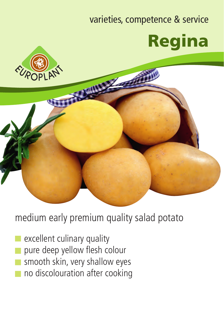## varieties, competence & service Regina



medium early premium quality salad potato

- excellent culinary quality
- pure deep yellow flesh colour
- smooth skin, very shallow eyes
- no discolouration after cooking